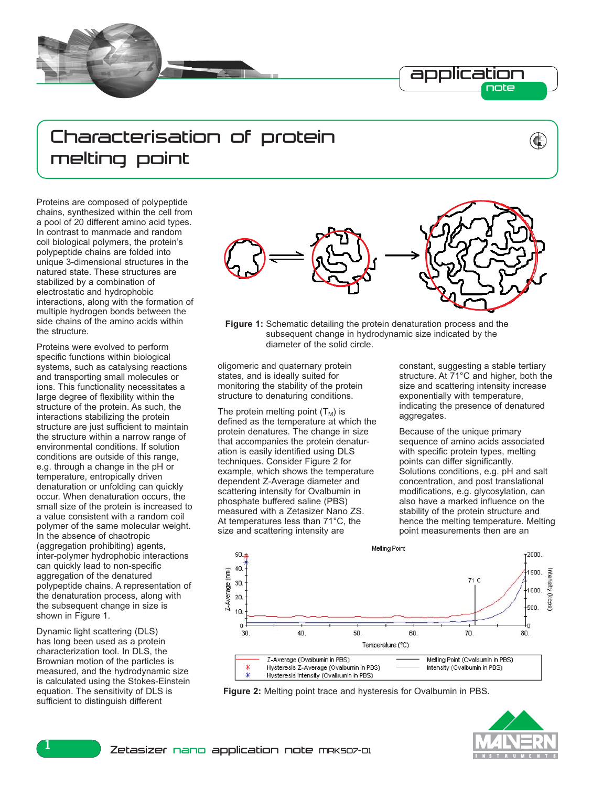

## Characterisation of protein melting point

Proteins are composed of polypeptide chains, synthesized within the cell from a pool of 20 different amino acid types. In contrast to manmade and random coil biological polymers, the protein's polypeptide chains are folded into unique 3-dimensional structures in the natured state. These structures are stabilized by a combination of electrostatic and hydrophobic interactions, along with the formation of multiple hydrogen bonds between the side chains of the amino acids within the structure.

Proteins were evolved to perform specific functions within biological systems, such as catalysing reactions and transporting small molecules or ions. This functionality necessitates a large degree of flexibility within the structure of the protein. As such, the interactions stabilizing the protein structure are just sufficient to maintain the structure within a narrow range of environmental conditions. If solution conditions are outside of this range, e.g. through a change in the pH or temperature, entropically driven denaturation or unfolding can quickly occur. When denaturation occurs, the small size of the protein is increased to a value consistent with a random coil polymer of the same molecular weight. In the absence of chaotropic (aggregation prohibiting) agents, inter-polymer hydrophobic interactions can quickly lead to non-specific aggregation of the denatured polypeptide chains. A representation of the denaturation process, along with the subsequent change in size is shown in Figure 1.

Dynamic light scattering (DLS) has long been used as a protein characterization tool. In DLS, the Brownian motion of the particles is measured, and the hydrodynamic size is calculated using the Stokes-Einstein equation. The sensitivity of DLS is sufficient to distinguish different



**Figure 1:** Schematic detailing the protein denaturation process and the subsequent change in hydrodynamic size indicated by the diameter of the solid circle.

oligomeric and quaternary protein states, and is ideally suited for monitoring the stability of the protein structure to denaturing conditions.

The protein melting point  $(T_M)$  is defined as the temperature at which the protein denatures. The change in size that accompanies the protein denaturation is easily identified using DLS techniques. Consider Figure 2 for example, which shows the temperature dependent Z-Average diameter and scattering intensity for Ovalbumin in phosphate buffered saline (PBS) measured with a Zetasizer Nano ZS. At temperatures less than 71°C, the size and scattering intensity are

constant, suggesting a stable tertiary structure. At 71°C and higher, both the size and scattering intensity increase exponentially with temperature, indicating the presence of denatured aggregates.

C

Because of the unique primary sequence of amino acids associated with specific protein types, melting points can differ significantly. Solutions conditions, e.g. pH and salt concentration, and post translational modifications, e.g. glycosylation, can also have a marked influence on the stability of the protein structure and hence the melting temperature. Melting point measurements then are an



**Figure 2:** Melting point trace and hysteresis for Ovalbumin in PBS.



1